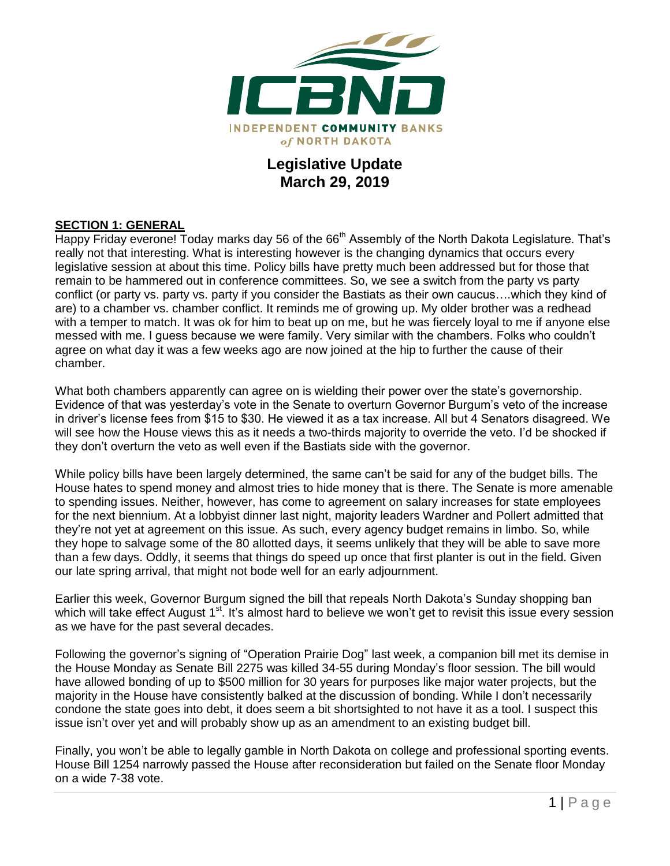

# **Legislative Update March 29, 2019**

### **SECTION 1: GENERAL**

Happy Friday everone! Today marks day 56 of the 66<sup>th</sup> Assembly of the North Dakota Legislature. That's really not that interesting. What is interesting however is the changing dynamics that occurs every legislative session at about this time. Policy bills have pretty much been addressed but for those that remain to be hammered out in conference committees. So, we see a switch from the party vs party conflict (or party vs. party vs. party if you consider the Bastiats as their own caucus….which they kind of are) to a chamber vs. chamber conflict. It reminds me of growing up. My older brother was a redhead with a temper to match. It was ok for him to beat up on me, but he was fiercely loyal to me if anyone else messed with me. I guess because we were family. Very similar with the chambers. Folks who couldn't agree on what day it was a few weeks ago are now joined at the hip to further the cause of their chamber.

What both chambers apparently can agree on is wielding their power over the state's governorship. Evidence of that was yesterday's vote in the Senate to overturn Governor Burgum's veto of the increase in driver's license fees from \$15 to \$30. He viewed it as a tax increase. All but 4 Senators disagreed. We will see how the House views this as it needs a two-thirds majority to override the veto. I'd be shocked if they don't overturn the veto as well even if the Bastiats side with the governor.

While policy bills have been largely determined, the same can't be said for any of the budget bills. The House hates to spend money and almost tries to hide money that is there. The Senate is more amenable to spending issues. Neither, however, has come to agreement on salary increases for state employees for the next biennium. At a lobbyist dinner last night, majority leaders Wardner and Pollert admitted that they're not yet at agreement on this issue. As such, every agency budget remains in limbo. So, while they hope to salvage some of the 80 allotted days, it seems unlikely that they will be able to save more than a few days. Oddly, it seems that things do speed up once that first planter is out in the field. Given our late spring arrival, that might not bode well for an early adjournment.

Earlier this week, Governor Burgum signed the bill that repeals North Dakota's Sunday shopping ban which will take effect August 1<sup>st</sup>. It's almost hard to believe we won't get to revisit this issue every session as we have for the past several decades.

Following the governor's signing of "Operation Prairie Dog" last week, a companion bill met its demise in the House Monday as Senate Bill 2275 was killed 34-55 during Monday's floor session. The bill would have allowed bonding of up to \$500 million for 30 years for purposes like major water projects, but the majority in the House have consistently balked at the discussion of bonding. While I don't necessarily condone the state goes into debt, it does seem a bit shortsighted to not have it as a tool. I suspect this issue isn't over yet and will probably show up as an amendment to an existing budget bill.

Finally, you won't be able to legally gamble in North Dakota on college and professional sporting events. House Bill 1254 narrowly passed the House after reconsideration but failed on the Senate floor Monday on a wide 7-38 vote.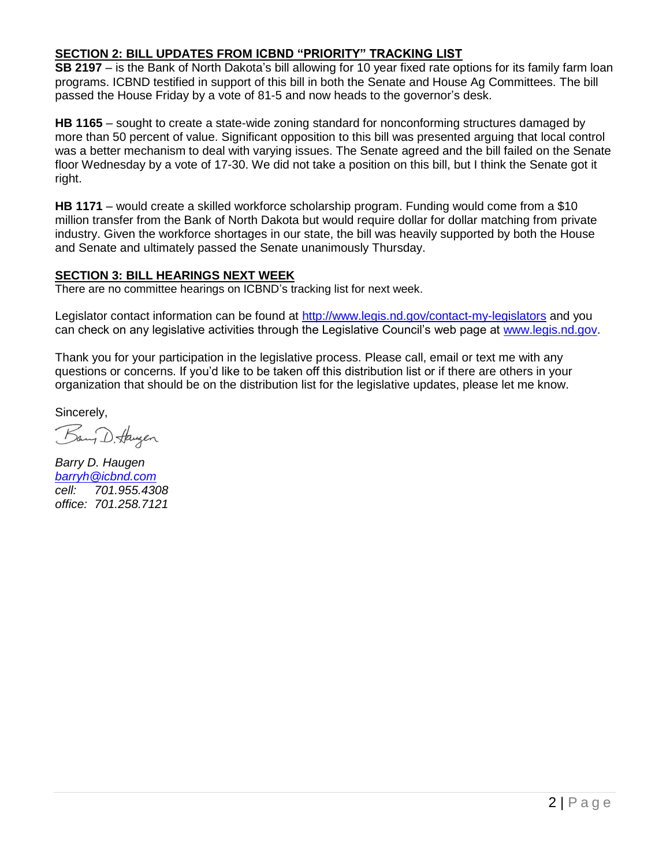## **SECTION 2: BILL UPDATES FROM ICBND "PRIORITY" TRACKING LIST**

**SB 2197** – is the Bank of North Dakota's bill allowing for 10 year fixed rate options for its family farm loan programs. ICBND testified in support of this bill in both the Senate and House Ag Committees. The bill passed the House Friday by a vote of 81-5 and now heads to the governor's desk.

**HB 1165** – sought to create a state-wide zoning standard for nonconforming structures damaged by more than 50 percent of value. Significant opposition to this bill was presented arguing that local control was a better mechanism to deal with varying issues. The Senate agreed and the bill failed on the Senate floor Wednesday by a vote of 17-30. We did not take a position on this bill, but I think the Senate got it right.

**HB 1171** – would create a skilled workforce scholarship program. Funding would come from a \$10 million transfer from the Bank of North Dakota but would require dollar for dollar matching from private industry. Given the workforce shortages in our state, the bill was heavily supported by both the House and Senate and ultimately passed the Senate unanimously Thursday.

#### **SECTION 3: BILL HEARINGS NEXT WEEK**

There are no committee hearings on ICBND's tracking list for next week.

Legislator contact information can be found at<http://www.legis.nd.gov/contact-my-legislators> and you can check on any legislative activities through the Legislative Council's web page at [www.legis.nd.gov.](http://www.legis.nd.gov/)

Thank you for your participation in the legislative process. Please call, email or text me with any questions or concerns. If you'd like to be taken off this distribution list or if there are others in your organization that should be on the distribution list for the legislative updates, please let me know.

Sincerely,

Bany D. Haugen

*Barry D. Haugen [barryh@icbnd.com](mailto:barryh@icbnd.com) cell: 701.955.4308 office: 701.258.7121*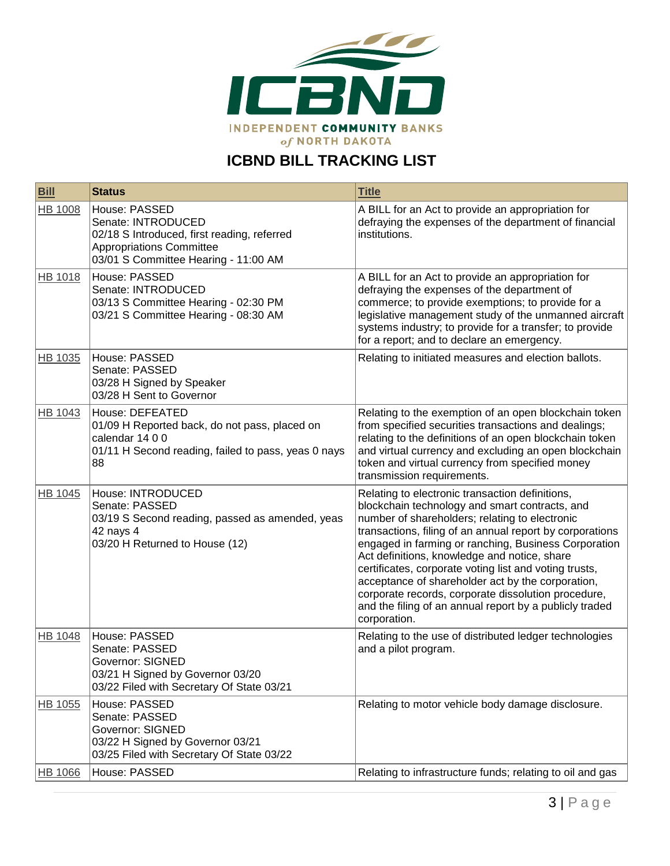

# **ICBND BILL TRACKING LIST**

| <b>Bill</b>    | <b>Status</b>                                                                                                                                                 | <b>Title</b>                                                                                                                                                                                                                                                                                                                                                                                                                                                                                                                                                             |
|----------------|---------------------------------------------------------------------------------------------------------------------------------------------------------------|--------------------------------------------------------------------------------------------------------------------------------------------------------------------------------------------------------------------------------------------------------------------------------------------------------------------------------------------------------------------------------------------------------------------------------------------------------------------------------------------------------------------------------------------------------------------------|
| <b>HB 1008</b> | House: PASSED<br>Senate: INTRODUCED<br>02/18 S Introduced, first reading, referred<br><b>Appropriations Committee</b><br>03/01 S Committee Hearing - 11:00 AM | A BILL for an Act to provide an appropriation for<br>defraying the expenses of the department of financial<br>institutions.                                                                                                                                                                                                                                                                                                                                                                                                                                              |
| HB 1018        | House: PASSED<br>Senate: INTRODUCED<br>03/13 S Committee Hearing - 02:30 PM<br>03/21 S Committee Hearing - 08:30 AM                                           | A BILL for an Act to provide an appropriation for<br>defraying the expenses of the department of<br>commerce; to provide exemptions; to provide for a<br>legislative management study of the unmanned aircraft<br>systems industry; to provide for a transfer; to provide<br>for a report; and to declare an emergency.                                                                                                                                                                                                                                                  |
| HB 1035        | House: PASSED<br>Senate: PASSED<br>03/28 H Signed by Speaker<br>03/28 H Sent to Governor                                                                      | Relating to initiated measures and election ballots.                                                                                                                                                                                                                                                                                                                                                                                                                                                                                                                     |
| HB 1043        | House: DEFEATED<br>01/09 H Reported back, do not pass, placed on<br>calendar 14 0 0<br>01/11 H Second reading, failed to pass, yeas 0 nays<br>88              | Relating to the exemption of an open blockchain token<br>from specified securities transactions and dealings;<br>relating to the definitions of an open blockchain token<br>and virtual currency and excluding an open blockchain<br>token and virtual currency from specified money<br>transmission requirements.                                                                                                                                                                                                                                                       |
| <b>HB 1045</b> | House: INTRODUCED<br>Senate: PASSED<br>03/19 S Second reading, passed as amended, yeas<br>42 nays 4<br>03/20 H Returned to House (12)                         | Relating to electronic transaction definitions,<br>blockchain technology and smart contracts, and<br>number of shareholders; relating to electronic<br>transactions, filing of an annual report by corporations<br>engaged in farming or ranching, Business Corporation<br>Act definitions, knowledge and notice, share<br>certificates, corporate voting list and voting trusts,<br>acceptance of shareholder act by the corporation,<br>corporate records, corporate dissolution procedure,<br>and the filing of an annual report by a publicly traded<br>corporation. |
| <b>HB 1048</b> | House: PASSED<br>Senate: PASSED<br><b>Governor: SIGNED</b><br>03/21 H Signed by Governor 03/20<br>03/22 Filed with Secretary Of State 03/21                   | Relating to the use of distributed ledger technologies<br>and a pilot program.                                                                                                                                                                                                                                                                                                                                                                                                                                                                                           |
| HB 1055        | House: PASSED<br>Senate: PASSED<br>Governor: SIGNED<br>03/22 H Signed by Governor 03/21<br>03/25 Filed with Secretary Of State 03/22                          | Relating to motor vehicle body damage disclosure.                                                                                                                                                                                                                                                                                                                                                                                                                                                                                                                        |
| HB 1066        | House: PASSED                                                                                                                                                 | Relating to infrastructure funds; relating to oil and gas                                                                                                                                                                                                                                                                                                                                                                                                                                                                                                                |
|                |                                                                                                                                                               |                                                                                                                                                                                                                                                                                                                                                                                                                                                                                                                                                                          |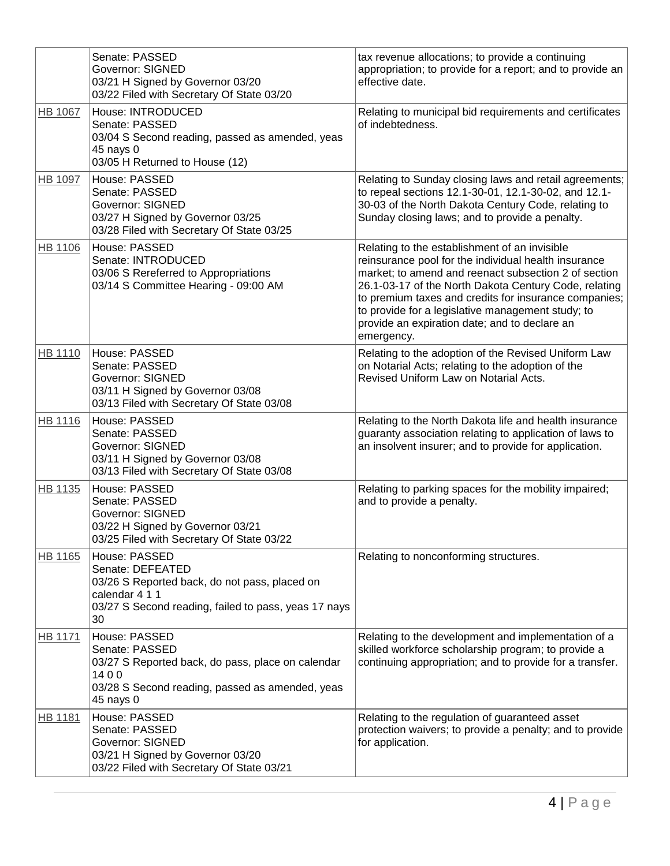|                | Senate: PASSED<br><b>Governor: SIGNED</b><br>03/21 H Signed by Governor 03/20<br>03/22 Filed with Secretary Of State 03/20                                         | tax revenue allocations; to provide a continuing<br>appropriation; to provide for a report; and to provide an<br>effective date.                                                                                                                                                                                                                                                                    |
|----------------|--------------------------------------------------------------------------------------------------------------------------------------------------------------------|-----------------------------------------------------------------------------------------------------------------------------------------------------------------------------------------------------------------------------------------------------------------------------------------------------------------------------------------------------------------------------------------------------|
| HB 1067        | House: INTRODUCED<br>Senate: PASSED<br>03/04 S Second reading, passed as amended, yeas<br>45 nays 0<br>03/05 H Returned to House (12)                              | Relating to municipal bid requirements and certificates<br>of indebtedness.                                                                                                                                                                                                                                                                                                                         |
| HB 1097        | House: PASSED<br>Senate: PASSED<br><b>Governor: SIGNED</b><br>03/27 H Signed by Governor 03/25<br>03/28 Filed with Secretary Of State 03/25                        | Relating to Sunday closing laws and retail agreements;<br>to repeal sections 12.1-30-01, 12.1-30-02, and 12.1-<br>30-03 of the North Dakota Century Code, relating to<br>Sunday closing laws; and to provide a penalty.                                                                                                                                                                             |
| HB 1106        | House: PASSED<br>Senate: INTRODUCED<br>03/06 S Rereferred to Appropriations<br>03/14 S Committee Hearing - 09:00 AM                                                | Relating to the establishment of an invisible<br>reinsurance pool for the individual health insurance<br>market; to amend and reenact subsection 2 of section<br>26.1-03-17 of the North Dakota Century Code, relating<br>to premium taxes and credits for insurance companies;<br>to provide for a legislative management study; to<br>provide an expiration date; and to declare an<br>emergency. |
| <b>HB 1110</b> | House: PASSED<br>Senate: PASSED<br><b>Governor: SIGNED</b><br>03/11 H Signed by Governor 03/08<br>03/13 Filed with Secretary Of State 03/08                        | Relating to the adoption of the Revised Uniform Law<br>on Notarial Acts; relating to the adoption of the<br>Revised Uniform Law on Notarial Acts.                                                                                                                                                                                                                                                   |
| <b>HB 1116</b> | House: PASSED<br>Senate: PASSED<br><b>Governor: SIGNED</b><br>03/11 H Signed by Governor 03/08<br>03/13 Filed with Secretary Of State 03/08                        | Relating to the North Dakota life and health insurance<br>guaranty association relating to application of laws to<br>an insolvent insurer; and to provide for application.                                                                                                                                                                                                                          |
| HB 1135        | House: PASSED<br>Senate: PASSED<br><b>Governor: SIGNED</b><br>03/22 H Signed by Governor 03/21<br>03/25 Filed with Secretary Of State 03/22                        | Relating to parking spaces for the mobility impaired;<br>and to provide a penalty.                                                                                                                                                                                                                                                                                                                  |
| <b>HB 1165</b> | House: PASSED<br>Senate: DEFEATED<br>03/26 S Reported back, do not pass, placed on<br>calendar 4 1 1<br>03/27 S Second reading, failed to pass, yeas 17 nays<br>30 | Relating to nonconforming structures.                                                                                                                                                                                                                                                                                                                                                               |
| HB 1171        | House: PASSED<br>Senate: PASSED<br>03/27 S Reported back, do pass, place on calendar<br>1400<br>03/28 S Second reading, passed as amended, yeas<br>45 nays 0       | Relating to the development and implementation of a<br>skilled workforce scholarship program; to provide a<br>continuing appropriation; and to provide for a transfer.                                                                                                                                                                                                                              |
| HB 1181        | House: PASSED<br>Senate: PASSED<br><b>Governor: SIGNED</b><br>03/21 H Signed by Governor 03/20<br>03/22 Filed with Secretary Of State 03/21                        | Relating to the regulation of guaranteed asset<br>protection waivers; to provide a penalty; and to provide<br>for application.                                                                                                                                                                                                                                                                      |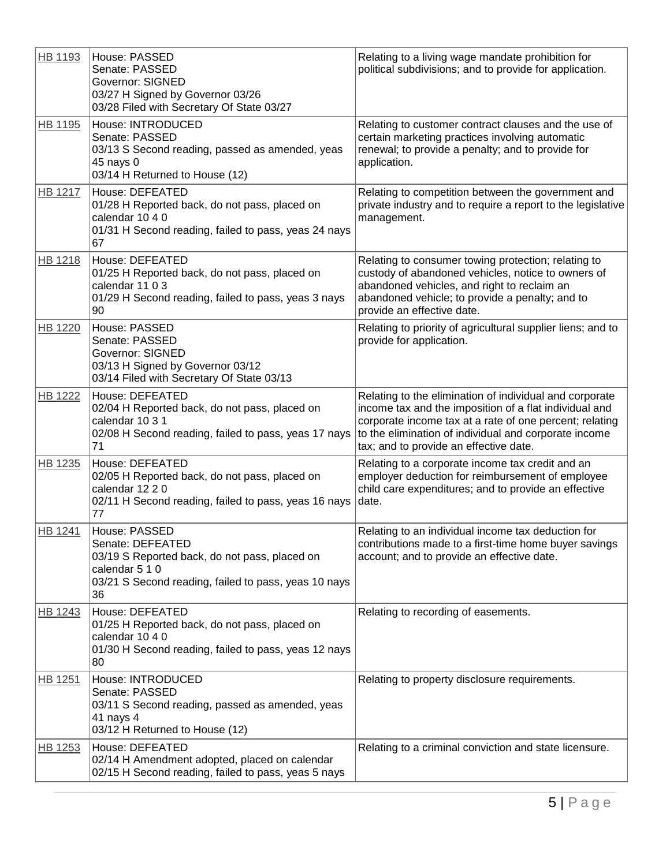| HB 1193        | House: PASSED<br>Senate: PASSED<br><b>Governor: SIGNED</b><br>03/27 H Signed by Governor 03/26<br>03/28 Filed with Secretary Of State 03/27                        | Relating to a living wage mandate prohibition for<br>political subdivisions; and to provide for application.                                                                                                                                                                    |
|----------------|--------------------------------------------------------------------------------------------------------------------------------------------------------------------|---------------------------------------------------------------------------------------------------------------------------------------------------------------------------------------------------------------------------------------------------------------------------------|
| HB 1195        | House: INTRODUCED<br>Senate: PASSED<br>03/13 S Second reading, passed as amended, yeas<br>45 nays 0<br>03/14 H Returned to House (12)                              | Relating to customer contract clauses and the use of<br>certain marketing practices involving automatic<br>renewal; to provide a penalty; and to provide for<br>application.                                                                                                    |
| HB 1217        | House: DEFEATED<br>01/28 H Reported back, do not pass, placed on<br>calendar 10 4 0<br>01/31 H Second reading, failed to pass, yeas 24 nays<br>67                  | Relating to competition between the government and<br>private industry and to require a report to the legislative<br>management.                                                                                                                                                |
| HB 1218        | House: DEFEATED<br>01/25 H Reported back, do not pass, placed on<br>calendar 11 0 3<br>01/29 H Second reading, failed to pass, yeas 3 nays<br>90                   | Relating to consumer towing protection; relating to<br>custody of abandoned vehicles, notice to owners of<br>abandoned vehicles, and right to reclaim an<br>abandoned vehicle; to provide a penalty; and to<br>provide an effective date.                                       |
| <b>HB 1220</b> | House: PASSED<br>Senate: PASSED<br><b>Governor: SIGNED</b><br>03/13 H Signed by Governor 03/12<br>03/14 Filed with Secretary Of State 03/13                        | Relating to priority of agricultural supplier liens; and to<br>provide for application.                                                                                                                                                                                         |
| <b>HB 1222</b> | House: DEFEATED<br>02/04 H Reported back, do not pass, placed on<br>calendar 10 3 1<br>02/08 H Second reading, failed to pass, yeas 17 nays<br>71                  | Relating to the elimination of individual and corporate<br>income tax and the imposition of a flat individual and<br>corporate income tax at a rate of one percent; relating<br>to the elimination of individual and corporate income<br>tax; and to provide an effective date. |
| HB 1235        | House: DEFEATED<br>02/05 H Reported back, do not pass, placed on<br>calendar 12 2 0<br>02/11 H Second reading, failed to pass, yeas 16 nays<br>77                  | Relating to a corporate income tax credit and an<br>employer deduction for reimbursement of employee<br>child care expenditures; and to provide an effective<br>date.                                                                                                           |
| <b>HB 1241</b> | House: PASSED<br>Senate: DEFEATED<br>03/19 S Reported back, do not pass, placed on<br>calendar 5 1 0<br>03/21 S Second reading, failed to pass, yeas 10 nays<br>36 | Relating to an individual income tax deduction for<br>contributions made to a first-time home buyer savings<br>account; and to provide an effective date.                                                                                                                       |
| HB 1243        | House: DEFEATED<br>01/25 H Reported back, do not pass, placed on<br>calendar 10 4 0<br>01/30 H Second reading, failed to pass, yeas 12 nays<br>80                  | Relating to recording of easements.                                                                                                                                                                                                                                             |
| HB 1251        | House: INTRODUCED<br>Senate: PASSED<br>03/11 S Second reading, passed as amended, yeas<br>41 nays 4<br>03/12 H Returned to House (12)                              | Relating to property disclosure requirements.                                                                                                                                                                                                                                   |
| HB 1253        | House: DEFEATED<br>02/14 H Amendment adopted, placed on calendar<br>02/15 H Second reading, failed to pass, yeas 5 nays                                            | Relating to a criminal conviction and state licensure.                                                                                                                                                                                                                          |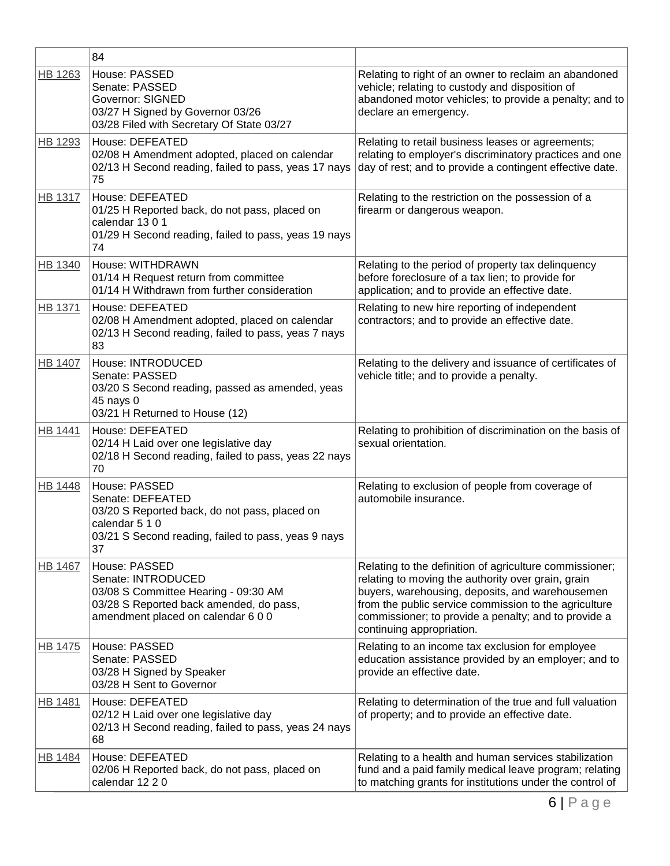|                | 84                                                                                                                                                                |                                                                                                                                                                                                                                                                                                                |
|----------------|-------------------------------------------------------------------------------------------------------------------------------------------------------------------|----------------------------------------------------------------------------------------------------------------------------------------------------------------------------------------------------------------------------------------------------------------------------------------------------------------|
| HB 1263        | House: PASSED<br>Senate: PASSED<br><b>Governor: SIGNED</b><br>03/27 H Signed by Governor 03/26<br>03/28 Filed with Secretary Of State 03/27                       | Relating to right of an owner to reclaim an abandoned<br>vehicle; relating to custody and disposition of<br>abandoned motor vehicles; to provide a penalty; and to<br>declare an emergency.                                                                                                                    |
| HB 1293        | House: DEFEATED<br>02/08 H Amendment adopted, placed on calendar<br>02/13 H Second reading, failed to pass, yeas 17 nays<br>75                                    | Relating to retail business leases or agreements;<br>relating to employer's discriminatory practices and one<br>day of rest; and to provide a contingent effective date.                                                                                                                                       |
| <b>HB 1317</b> | House: DEFEATED<br>01/25 H Reported back, do not pass, placed on<br>calendar 1301<br>01/29 H Second reading, failed to pass, yeas 19 nays<br>74                   | Relating to the restriction on the possession of a<br>firearm or dangerous weapon.                                                                                                                                                                                                                             |
| <b>HB 1340</b> | <b>House: WITHDRAWN</b><br>01/14 H Request return from committee<br>01/14 H Withdrawn from further consideration                                                  | Relating to the period of property tax delinquency<br>before foreclosure of a tax lien; to provide for<br>application; and to provide an effective date.                                                                                                                                                       |
| HB 1371        | House: DEFEATED<br>02/08 H Amendment adopted, placed on calendar<br>02/13 H Second reading, failed to pass, yeas 7 nays<br>83                                     | Relating to new hire reporting of independent<br>contractors; and to provide an effective date.                                                                                                                                                                                                                |
| <b>HB 1407</b> | House: INTRODUCED<br>Senate: PASSED<br>03/20 S Second reading, passed as amended, yeas<br>45 nays 0<br>03/21 H Returned to House (12)                             | Relating to the delivery and issuance of certificates of<br>vehicle title; and to provide a penalty.                                                                                                                                                                                                           |
| HB 1441        | House: DEFEATED<br>02/14 H Laid over one legislative day<br>02/18 H Second reading, failed to pass, yeas 22 nays<br>70                                            | Relating to prohibition of discrimination on the basis of<br>sexual orientation.                                                                                                                                                                                                                               |
| <b>HB 1448</b> | House: PASSED<br>Senate: DEFEATED<br>03/20 S Reported back, do not pass, placed on<br>calendar 5 1 0<br>03/21 S Second reading, failed to pass, yeas 9 nays<br>37 | Relating to exclusion of people from coverage of<br>automobile insurance.                                                                                                                                                                                                                                      |
| <b>HB 1467</b> | House: PASSED<br>Senate: INTRODUCED<br>03/08 S Committee Hearing - 09:30 AM<br>03/28 S Reported back amended, do pass,<br>amendment placed on calendar 6 0 0      | Relating to the definition of agriculture commissioner;<br>relating to moving the authority over grain, grain<br>buyers, warehousing, deposits, and warehousemen<br>from the public service commission to the agriculture<br>commissioner; to provide a penalty; and to provide a<br>continuing appropriation. |
| HB 1475        | House: PASSED<br>Senate: PASSED<br>03/28 H Signed by Speaker<br>03/28 H Sent to Governor                                                                          | Relating to an income tax exclusion for employee<br>education assistance provided by an employer; and to<br>provide an effective date.                                                                                                                                                                         |
| HB 1481        | House: DEFEATED<br>02/12 H Laid over one legislative day<br>02/13 H Second reading, failed to pass, yeas 24 nays<br>68                                            | Relating to determination of the true and full valuation<br>of property; and to provide an effective date.                                                                                                                                                                                                     |
| <b>HB 1484</b> | House: DEFEATED<br>02/06 H Reported back, do not pass, placed on<br>calendar 12 2 0                                                                               | Relating to a health and human services stabilization<br>fund and a paid family medical leave program; relating<br>to matching grants for institutions under the control of                                                                                                                                    |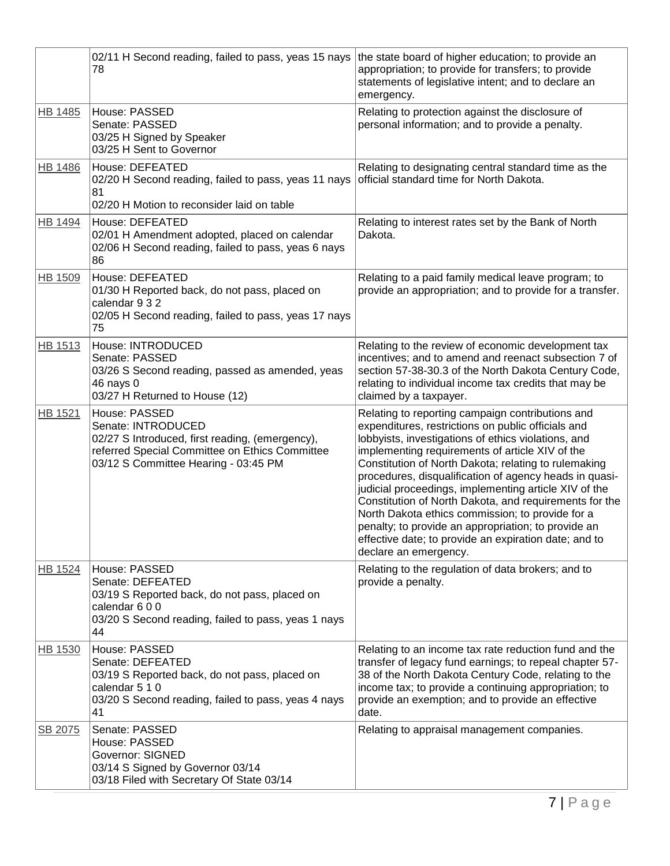|                | 02/11 H Second reading, failed to pass, yeas 15 nays<br>78                                                                                                                       | the state board of higher education; to provide an<br>appropriation; to provide for transfers; to provide<br>statements of legislative intent; and to declare an<br>emergency.                                                                                                                                                                                                                                                                                                                                                                                                                                                                     |
|----------------|----------------------------------------------------------------------------------------------------------------------------------------------------------------------------------|----------------------------------------------------------------------------------------------------------------------------------------------------------------------------------------------------------------------------------------------------------------------------------------------------------------------------------------------------------------------------------------------------------------------------------------------------------------------------------------------------------------------------------------------------------------------------------------------------------------------------------------------------|
| <b>HB 1485</b> | House: PASSED<br>Senate: PASSED<br>03/25 H Signed by Speaker<br>03/25 H Sent to Governor                                                                                         | Relating to protection against the disclosure of<br>personal information; and to provide a penalty.                                                                                                                                                                                                                                                                                                                                                                                                                                                                                                                                                |
| HB 1486        | House: DEFEATED<br>02/20 H Second reading, failed to pass, yeas 11 nays<br>81<br>02/20 H Motion to reconsider laid on table                                                      | Relating to designating central standard time as the<br>official standard time for North Dakota.                                                                                                                                                                                                                                                                                                                                                                                                                                                                                                                                                   |
| <b>HB 1494</b> | House: DEFEATED<br>02/01 H Amendment adopted, placed on calendar<br>02/06 H Second reading, failed to pass, yeas 6 nays<br>86                                                    | Relating to interest rates set by the Bank of North<br>Dakota.                                                                                                                                                                                                                                                                                                                                                                                                                                                                                                                                                                                     |
| HB 1509        | House: DEFEATED<br>01/30 H Reported back, do not pass, placed on<br>calendar 9 3 2<br>02/05 H Second reading, failed to pass, yeas 17 nays<br>75                                 | Relating to a paid family medical leave program; to<br>provide an appropriation; and to provide for a transfer.                                                                                                                                                                                                                                                                                                                                                                                                                                                                                                                                    |
| HB 1513        | House: INTRODUCED<br>Senate: PASSED<br>03/26 S Second reading, passed as amended, yeas<br>46 nays 0<br>03/27 H Returned to House (12)                                            | Relating to the review of economic development tax<br>incentives; and to amend and reenact subsection 7 of<br>section 57-38-30.3 of the North Dakota Century Code,<br>relating to individual income tax credits that may be<br>claimed by a taxpayer.                                                                                                                                                                                                                                                                                                                                                                                              |
| HB 1521        | House: PASSED<br>Senate: INTRODUCED<br>02/27 S Introduced, first reading, (emergency),<br>referred Special Committee on Ethics Committee<br>03/12 S Committee Hearing - 03:45 PM | Relating to reporting campaign contributions and<br>expenditures, restrictions on public officials and<br>lobbyists, investigations of ethics violations, and<br>implementing requirements of article XIV of the<br>Constitution of North Dakota; relating to rulemaking<br>procedures, disqualification of agency heads in quasi-<br>judicial proceedings, implementing article XIV of the<br>Constitution of North Dakota, and requirements for the<br>North Dakota ethics commission; to provide for a<br>penalty; to provide an appropriation; to provide an<br>effective date; to provide an expiration date; and to<br>declare an emergency. |
| HB 1524        | House: PASSED<br>Senate: DEFEATED<br>03/19 S Reported back, do not pass, placed on<br>calendar 6 0 0<br>03/20 S Second reading, failed to pass, yeas 1 nays<br>44                | Relating to the regulation of data brokers; and to<br>provide a penalty.                                                                                                                                                                                                                                                                                                                                                                                                                                                                                                                                                                           |
| HB 1530        | House: PASSED<br>Senate: DEFEATED<br>03/19 S Reported back, do not pass, placed on<br>calendar 5 1 0<br>03/20 S Second reading, failed to pass, yeas 4 nays<br>41                | Relating to an income tax rate reduction fund and the<br>transfer of legacy fund earnings; to repeal chapter 57-<br>38 of the North Dakota Century Code, relating to the<br>income tax; to provide a continuing appropriation; to<br>provide an exemption; and to provide an effective<br>date.                                                                                                                                                                                                                                                                                                                                                    |
| SB 2075        | Senate: PASSED<br>House: PASSED<br><b>Governor: SIGNED</b><br>03/14 S Signed by Governor 03/14<br>03/18 Filed with Secretary Of State 03/14                                      | Relating to appraisal management companies.                                                                                                                                                                                                                                                                                                                                                                                                                                                                                                                                                                                                        |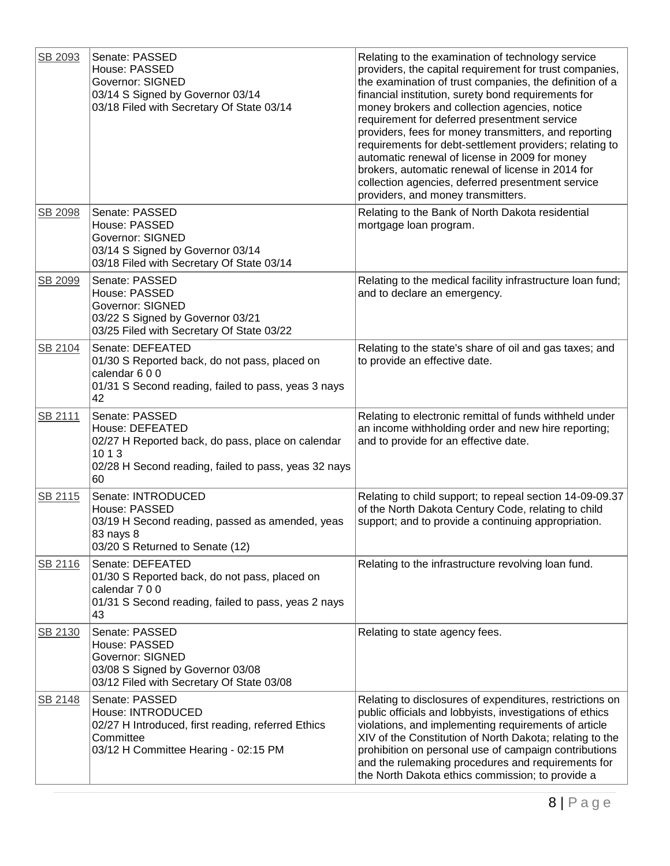| SB 2093 | Senate: PASSED<br>House: PASSED<br><b>Governor: SIGNED</b><br>03/14 S Signed by Governor 03/14<br>03/18 Filed with Secretary Of State 03/14                    | Relating to the examination of technology service<br>providers, the capital requirement for trust companies,<br>the examination of trust companies, the definition of a<br>financial institution, surety bond requirements for<br>money brokers and collection agencies, notice<br>requirement for deferred presentment service<br>providers, fees for money transmitters, and reporting<br>requirements for debt-settlement providers; relating to<br>automatic renewal of license in 2009 for money<br>brokers, automatic renewal of license in 2014 for<br>collection agencies, deferred presentment service<br>providers, and money transmitters. |
|---------|----------------------------------------------------------------------------------------------------------------------------------------------------------------|-------------------------------------------------------------------------------------------------------------------------------------------------------------------------------------------------------------------------------------------------------------------------------------------------------------------------------------------------------------------------------------------------------------------------------------------------------------------------------------------------------------------------------------------------------------------------------------------------------------------------------------------------------|
| SB 2098 | Senate: PASSED<br>House: PASSED<br><b>Governor: SIGNED</b><br>03/14 S Signed by Governor 03/14<br>03/18 Filed with Secretary Of State 03/14                    | Relating to the Bank of North Dakota residential<br>mortgage loan program.                                                                                                                                                                                                                                                                                                                                                                                                                                                                                                                                                                            |
| SB 2099 | Senate: PASSED<br>House: PASSED<br><b>Governor: SIGNED</b><br>03/22 S Signed by Governor 03/21<br>03/25 Filed with Secretary Of State 03/22                    | Relating to the medical facility infrastructure loan fund;<br>and to declare an emergency.                                                                                                                                                                                                                                                                                                                                                                                                                                                                                                                                                            |
| SB 2104 | Senate: DEFEATED<br>01/30 S Reported back, do not pass, placed on<br>calendar 600<br>01/31 S Second reading, failed to pass, yeas 3 nays<br>42                 | Relating to the state's share of oil and gas taxes; and<br>to provide an effective date.                                                                                                                                                                                                                                                                                                                                                                                                                                                                                                                                                              |
| SB 2111 | Senate: PASSED<br>House: DEFEATED<br>02/27 H Reported back, do pass, place on calendar<br>10 1 3<br>02/28 H Second reading, failed to pass, yeas 32 nays<br>60 | Relating to electronic remittal of funds withheld under<br>an income withholding order and new hire reporting;<br>and to provide for an effective date.                                                                                                                                                                                                                                                                                                                                                                                                                                                                                               |
| SB 2115 | Senate: INTRODUCED<br>House: PASSED<br>03/19 H Second reading, passed as amended, yeas<br>83 nays 8<br>03/20 S Returned to Senate (12)                         | Relating to child support; to repeal section 14-09-09.37<br>of the North Dakota Century Code, relating to child<br>support; and to provide a continuing appropriation.                                                                                                                                                                                                                                                                                                                                                                                                                                                                                |
| SB 2116 | Senate: DEFEATED<br>01/30 S Reported back, do not pass, placed on<br>calendar 7 0 0<br>01/31 S Second reading, failed to pass, yeas 2 nays<br>43               | Relating to the infrastructure revolving loan fund.                                                                                                                                                                                                                                                                                                                                                                                                                                                                                                                                                                                                   |
| SB 2130 | Senate: PASSED<br>House: PASSED<br><b>Governor: SIGNED</b><br>03/08 S Signed by Governor 03/08<br>03/12 Filed with Secretary Of State 03/08                    | Relating to state agency fees.                                                                                                                                                                                                                                                                                                                                                                                                                                                                                                                                                                                                                        |
| SB 2148 | Senate: PASSED<br>House: INTRODUCED<br>02/27 H Introduced, first reading, referred Ethics<br>Committee<br>03/12 H Committee Hearing - 02:15 PM                 | Relating to disclosures of expenditures, restrictions on<br>public officials and lobbyists, investigations of ethics<br>violations, and implementing requirements of article<br>XIV of the Constitution of North Dakota; relating to the<br>prohibition on personal use of campaign contributions<br>and the rulemaking procedures and requirements for<br>the North Dakota ethics commission; to provide a                                                                                                                                                                                                                                           |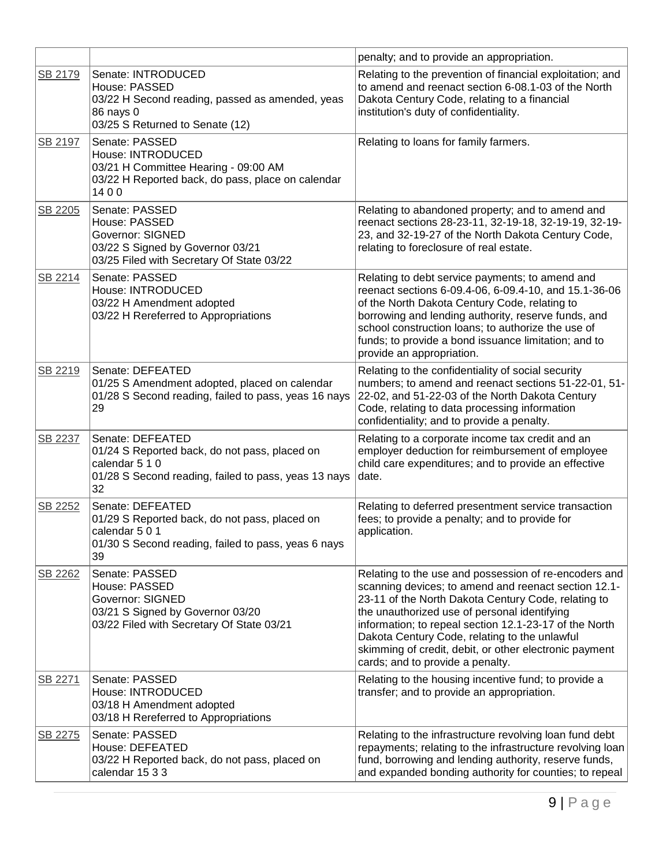|         |                                                                                                                                                   | penalty; and to provide an appropriation.                                                                                                                                                                                                                                                                                                                                                                                     |
|---------|---------------------------------------------------------------------------------------------------------------------------------------------------|-------------------------------------------------------------------------------------------------------------------------------------------------------------------------------------------------------------------------------------------------------------------------------------------------------------------------------------------------------------------------------------------------------------------------------|
| SB 2179 | Senate: INTRODUCED<br>House: PASSED<br>03/22 H Second reading, passed as amended, yeas<br>86 nays 0<br>03/25 S Returned to Senate (12)            | Relating to the prevention of financial exploitation; and<br>to amend and reenact section 6-08.1-03 of the North<br>Dakota Century Code, relating to a financial<br>institution's duty of confidentiality.                                                                                                                                                                                                                    |
| SB 2197 | Senate: PASSED<br>House: INTRODUCED<br>03/21 H Committee Hearing - 09:00 AM<br>03/22 H Reported back, do pass, place on calendar<br>1400          | Relating to loans for family farmers.                                                                                                                                                                                                                                                                                                                                                                                         |
| SB 2205 | Senate: PASSED<br>House: PASSED<br><b>Governor: SIGNED</b><br>03/22 S Signed by Governor 03/21<br>03/25 Filed with Secretary Of State 03/22       | Relating to abandoned property; and to amend and<br>reenact sections 28-23-11, 32-19-18, 32-19-19, 32-19-<br>23, and 32-19-27 of the North Dakota Century Code,<br>relating to foreclosure of real estate.                                                                                                                                                                                                                    |
| SB 2214 | Senate: PASSED<br>House: INTRODUCED<br>03/22 H Amendment adopted<br>03/22 H Rereferred to Appropriations                                          | Relating to debt service payments; to amend and<br>reenact sections 6-09.4-06, 6-09.4-10, and 15.1-36-06<br>of the North Dakota Century Code, relating to<br>borrowing and lending authority, reserve funds, and<br>school construction loans; to authorize the use of<br>funds; to provide a bond issuance limitation; and to<br>provide an appropriation.                                                                   |
| SB 2219 | Senate: DEFEATED<br>01/25 S Amendment adopted, placed on calendar<br>01/28 S Second reading, failed to pass, yeas 16 nays<br>29                   | Relating to the confidentiality of social security<br>numbers; to amend and reenact sections 51-22-01, 51-<br>22-02, and 51-22-03 of the North Dakota Century<br>Code, relating to data processing information<br>confidentiality; and to provide a penalty.                                                                                                                                                                  |
| SB 2237 | Senate: DEFEATED<br>01/24 S Reported back, do not pass, placed on<br>calendar 5 1 0<br>01/28 S Second reading, failed to pass, yeas 13 nays<br>32 | Relating to a corporate income tax credit and an<br>employer deduction for reimbursement of employee<br>child care expenditures; and to provide an effective<br>date.                                                                                                                                                                                                                                                         |
| SB 2252 | Senate: DEFEATED<br>01/29 S Reported back, do not pass, placed on<br>calendar 5 0 1<br>01/30 S Second reading, failed to pass, yeas 6 nays<br>39  | Relating to deferred presentment service transaction<br>fees; to provide a penalty; and to provide for<br>application.                                                                                                                                                                                                                                                                                                        |
| SB 2262 | Senate: PASSED<br>House: PASSED<br><b>Governor: SIGNED</b><br>03/21 S Signed by Governor 03/20<br>03/22 Filed with Secretary Of State 03/21       | Relating to the use and possession of re-encoders and<br>scanning devices; to amend and reenact section 12.1-<br>23-11 of the North Dakota Century Code, relating to<br>the unauthorized use of personal identifying<br>information; to repeal section 12.1-23-17 of the North<br>Dakota Century Code, relating to the unlawful<br>skimming of credit, debit, or other electronic payment<br>cards; and to provide a penalty. |
| SB 2271 | Senate: PASSED<br>House: INTRODUCED<br>03/18 H Amendment adopted<br>03/18 H Rereferred to Appropriations                                          | Relating to the housing incentive fund; to provide a<br>transfer; and to provide an appropriation.                                                                                                                                                                                                                                                                                                                            |
| SB 2275 | Senate: PASSED<br>House: DEFEATED<br>03/22 H Reported back, do not pass, placed on<br>calendar 15 3 3                                             | Relating to the infrastructure revolving loan fund debt<br>repayments; relating to the infrastructure revolving loan<br>fund, borrowing and lending authority, reserve funds,<br>and expanded bonding authority for counties; to repeal                                                                                                                                                                                       |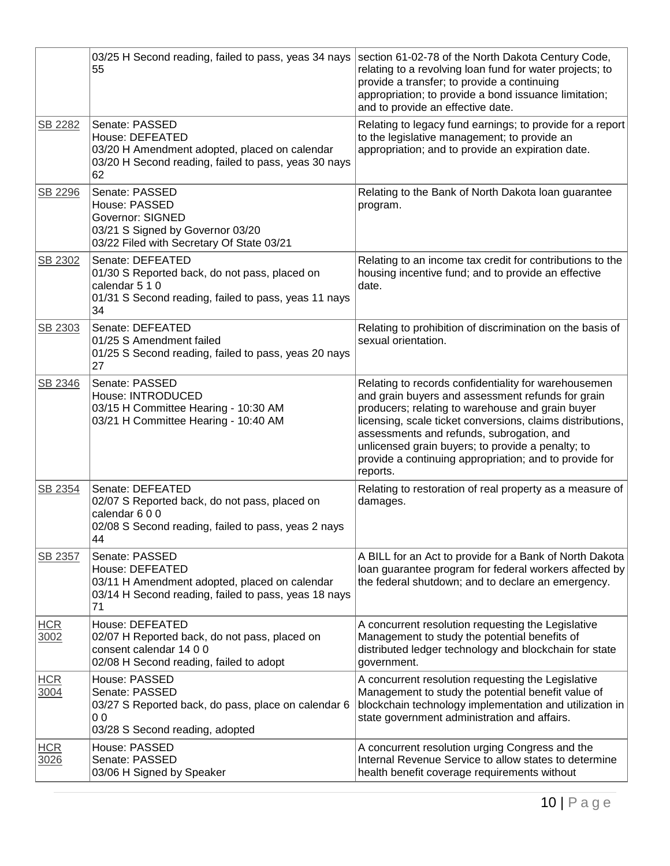|                    | 03/25 H Second reading, failed to pass, yeas 34 nays<br>55                                                                                        | section 61-02-78 of the North Dakota Century Code,<br>relating to a revolving loan fund for water projects; to<br>provide a transfer; to provide a continuing<br>appropriation; to provide a bond issuance limitation;<br>and to provide an effective date.                                                                                                                                         |
|--------------------|---------------------------------------------------------------------------------------------------------------------------------------------------|-----------------------------------------------------------------------------------------------------------------------------------------------------------------------------------------------------------------------------------------------------------------------------------------------------------------------------------------------------------------------------------------------------|
| SB 2282            | Senate: PASSED<br>House: DEFEATED<br>03/20 H Amendment adopted, placed on calendar<br>03/20 H Second reading, failed to pass, yeas 30 nays<br>62  | Relating to legacy fund earnings; to provide for a report<br>to the legislative management; to provide an<br>appropriation; and to provide an expiration date.                                                                                                                                                                                                                                      |
| SB 2296            | Senate: PASSED<br>House: PASSED<br><b>Governor: SIGNED</b><br>03/21 S Signed by Governor 03/20<br>03/22 Filed with Secretary Of State 03/21       | Relating to the Bank of North Dakota loan guarantee<br>program.                                                                                                                                                                                                                                                                                                                                     |
| SB 2302            | Senate: DEFEATED<br>01/30 S Reported back, do not pass, placed on<br>calendar 5 1 0<br>01/31 S Second reading, failed to pass, yeas 11 nays<br>34 | Relating to an income tax credit for contributions to the<br>housing incentive fund; and to provide an effective<br>date.                                                                                                                                                                                                                                                                           |
| SB 2303            | Senate: DEFEATED<br>01/25 S Amendment failed<br>01/25 S Second reading, failed to pass, yeas 20 nays<br>27                                        | Relating to prohibition of discrimination on the basis of<br>sexual orientation.                                                                                                                                                                                                                                                                                                                    |
| SB 2346            | Senate: PASSED<br>House: INTRODUCED<br>03/15 H Committee Hearing - 10:30 AM<br>03/21 H Committee Hearing - 10:40 AM                               | Relating to records confidentiality for warehousemen<br>and grain buyers and assessment refunds for grain<br>producers; relating to warehouse and grain buyer<br>licensing, scale ticket conversions, claims distributions,<br>assessments and refunds, subrogation, and<br>unlicensed grain buyers; to provide a penalty; to<br>provide a continuing appropriation; and to provide for<br>reports. |
| SB 2354            | Senate: DEFEATED<br>02/07 S Reported back, do not pass, placed on<br>calendar 600<br>02/08 S Second reading, failed to pass, yeas 2 nays<br>44    | Relating to restoration of real property as a measure of<br>damages.                                                                                                                                                                                                                                                                                                                                |
| SB 2357            | Senate: PASSED<br>House: DEFEATED<br>03/11 H Amendment adopted, placed on calendar<br>03/14 H Second reading, failed to pass, yeas 18 nays<br>71  | A BILL for an Act to provide for a Bank of North Dakota<br>loan guarantee program for federal workers affected by<br>the federal shutdown; and to declare an emergency.                                                                                                                                                                                                                             |
| <b>HCR</b><br>3002 | House: DEFEATED<br>02/07 H Reported back, do not pass, placed on<br>consent calendar 14 0 0<br>02/08 H Second reading, failed to adopt            | A concurrent resolution requesting the Legislative<br>Management to study the potential benefits of<br>distributed ledger technology and blockchain for state<br>government.                                                                                                                                                                                                                        |
| <b>HCR</b><br>3004 | House: PASSED<br>Senate: PASSED<br>03/27 S Reported back, do pass, place on calendar 6<br>00<br>03/28 S Second reading, adopted                   | A concurrent resolution requesting the Legislative<br>Management to study the potential benefit value of<br>blockchain technology implementation and utilization in<br>state government administration and affairs.                                                                                                                                                                                 |
| <b>HCR</b><br>3026 | House: PASSED<br>Senate: PASSED<br>03/06 H Signed by Speaker                                                                                      | A concurrent resolution urging Congress and the<br>Internal Revenue Service to allow states to determine<br>health benefit coverage requirements without                                                                                                                                                                                                                                            |